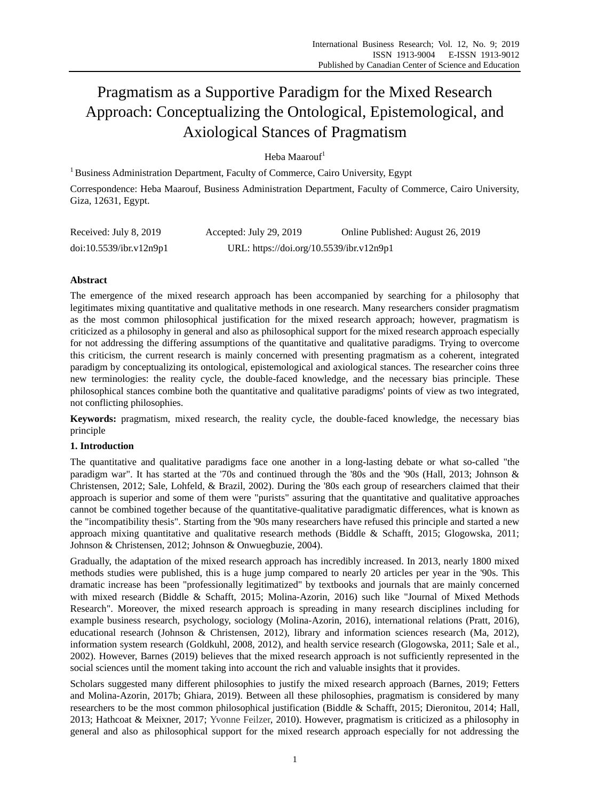# Pragmatism as a Supportive Paradigm for the Mixed Research Approach: Conceptualizing the Ontological, Epistemological, and Axiological Stances of Pragmatism

# Heba Maarouf<sup>1</sup>

<sup>1</sup> Business Administration Department, Faculty of Commerce, Cairo University, Egypt

Correspondence: Heba Maarouf, Business Administration Department, Faculty of Commerce, Cairo University, Giza, 12631, Egypt.

| Received: July 8, 2019  | Accepted: July 29, 2019                  | Online Published: August 26, 2019 |
|-------------------------|------------------------------------------|-----------------------------------|
| doi:10.5539/ibr.v12n9p1 | URL: https://doi.org/10.5539/ibr.v12n9p1 |                                   |

# **Abstract**

The emergence of the mixed research approach has been accompanied by searching for a philosophy that legitimates mixing quantitative and qualitative methods in one research. Many researchers consider pragmatism as the most common philosophical justification for the mixed research approach; however, pragmatism is criticized as a philosophy in general and also as philosophical support for the mixed research approach especially for not addressing the differing assumptions of the quantitative and qualitative paradigms. Trying to overcome this criticism, the current research is mainly concerned with presenting pragmatism as a coherent, integrated paradigm by conceptualizing its ontological, epistemological and axiological stances. The researcher coins three new terminologies: the reality cycle, the double-faced knowledge, and the necessary bias principle. These philosophical stances combine both the quantitative and qualitative paradigms' points of view as two integrated, not conflicting philosophies.

**Keywords:** pragmatism, mixed research, the reality cycle, the double-faced knowledge, the necessary bias principle

# **1. Introduction**

The quantitative and qualitative paradigms face one another in a long-lasting debate or what so-called "the paradigm war". It has started at the '70s and continued through the '80s and the '90s (Hall, 2013; Johnson & Christensen, 2012; Sale, Lohfeld, & Brazil, 2002). During the '80s each group of researchers claimed that their approach is superior and some of them were "purists" assuring that the quantitative and qualitative approaches cannot be combined together because of the quantitative-qualitative paradigmatic differences, what is known as the "incompatibility thesis". Starting from the '90s many researchers have refused this principle and started a new approach mixing quantitative and qualitative research methods (Biddle & Schafft, 2015; Glogowska, 2011; Johnson & Christensen, 2012; Johnson & Onwuegbuzie, 2004).

Gradually, the adaptation of the mixed research approach has incredibly increased. In 2013, nearly 1800 mixed methods studies were published, this is a huge jump compared to nearly 20 articles per year in the '90s. This dramatic increase has been "professionally legitimatized" by textbooks and journals that are mainly concerned with mixed research (Biddle & Schafft, 2015; Molina-Azorin, 2016) such like "Journal of Mixed Methods Research". Moreover, the mixed research approach is spreading in many research disciplines including for example business research, psychology, sociology (Molina-Azorin, 2016), international relations (Pratt, 2016), educational research (Johnson & Christensen, 2012), library and information sciences research (Ma, 2012), information system research (Goldkuhl, 2008, 2012), and health service research (Glogowska, 2011; Sale et al., 2002). However, Barnes (2019) believes that the mixed research approach is not sufficiently represented in the social sciences until the moment taking into account the rich and valuable insights that it provides.

Scholars suggested many different philosophies to justify the mixed research approach (Barnes, 2019; Fetters and Molina-Azorin, 2017b; Ghiara, 2019). Between all these philosophies, pragmatism is considered by many researchers to be the most common philosophical justification (Biddle & Schafft, 2015; Dieronitou, 2014; Hall, 2013; Hathcoat & Meixner, 2017; Yvonne Feilzer, 2010). However, pragmatism is criticized as a philosophy in general and also as philosophical support for the mixed research approach especially for not addressing the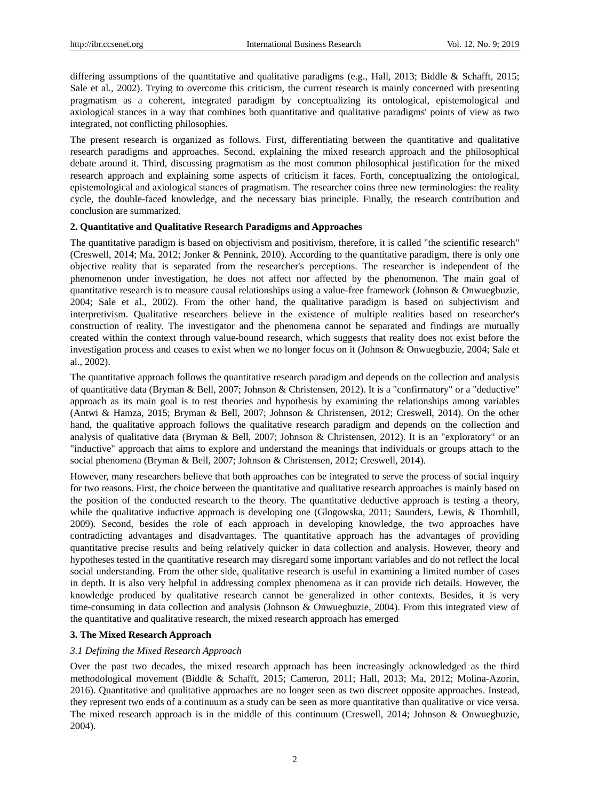differing assumptions of the quantitative and qualitative paradigms (e.g., Hall, 2013; Biddle & Schafft, 2015; Sale et al., 2002). Trying to overcome this criticism, the current research is mainly concerned with presenting pragmatism as a coherent, integrated paradigm by conceptualizing its ontological, epistemological and axiological stances in a way that combines both quantitative and qualitative paradigms' points of view as two integrated, not conflicting philosophies.

The present research is organized as follows. First, differentiating between the quantitative and qualitative research paradigms and approaches. Second, explaining the mixed research approach and the philosophical debate around it. Third, discussing pragmatism as the most common philosophical justification for the mixed research approach and explaining some aspects of criticism it faces. Forth, conceptualizing the ontological, epistemological and axiological stances of pragmatism. The researcher coins three new terminologies: the reality cycle, the double-faced knowledge, and the necessary bias principle. Finally, the research contribution and conclusion are summarized.

## **2. Quantitative and Qualitative Research Paradigms and Approaches**

The quantitative paradigm is based on objectivism and positivism, therefore, it is called "the scientific research" (Creswell, 2014; Ma, 2012; Jonker & Pennink, 2010). According to the quantitative paradigm, there is only one objective reality that is separated from the researcher's perceptions. The researcher is independent of the phenomenon under investigation, he does not affect nor affected by the phenomenon. The main goal of quantitative research is to measure causal relationships using a value-free framework (Johnson & Onwuegbuzie, 2004; Sale et al., 2002). From the other hand, the qualitative paradigm is based on subjectivism and interpretivism. Qualitative researchers believe in the existence of multiple realities based on researcher's construction of reality. The investigator and the phenomena cannot be separated and findings are mutually created within the context through value-bound research, which suggests that reality does not exist before the investigation process and ceases to exist when we no longer focus on it (Johnson & Onwuegbuzie, 2004; Sale et al., 2002).

The quantitative approach follows the quantitative research paradigm and depends on the collection and analysis of quantitative data (Bryman & Bell, 2007; Johnson & Christensen, 2012). It is a "confirmatory" or a "deductive" approach as its main goal is to test theories and hypothesis by examining the relationships among variables (Antwi & Hamza, 2015; Bryman & Bell, 2007; Johnson & Christensen, 2012; Creswell, 2014). On the other hand, the qualitative approach follows the qualitative research paradigm and depends on the collection and analysis of qualitative data (Bryman & Bell, 2007; Johnson & Christensen, 2012). It is an "exploratory" or an "inductive" approach that aims to explore and understand the meanings that individuals or groups attach to the social phenomena (Bryman & Bell, 2007; Johnson & Christensen, 2012; Creswell, 2014).

However, many researchers believe that both approaches can be integrated to serve the process of social inquiry for two reasons. First, the choice between the quantitative and qualitative research approaches is mainly based on the position of the conducted research to the theory. The quantitative deductive approach is testing a theory, while the qualitative inductive approach is developing one (Glogowska, 2011; Saunders, Lewis, & Thornhill, 2009). Second, besides the role of each approach in developing knowledge, the two approaches have contradicting advantages and disadvantages. The quantitative approach has the advantages of providing quantitative precise results and being relatively quicker in data collection and analysis. However, theory and hypotheses tested in the quantitative research may disregard some important variables and do not reflect the local social understanding. From the other side, qualitative research is useful in examining a limited number of cases in depth. It is also very helpful in addressing complex phenomena as it can provide rich details. However, the knowledge produced by qualitative research cannot be generalized in other contexts. Besides, it is very time-consuming in data collection and analysis (Johnson & Onwuegbuzie, 2004). From this integrated view of the quantitative and qualitative research, the mixed research approach has emerged

## **3. The Mixed Research Approach**

#### *3.1 Defining the Mixed Research Approach*

Over the past two decades, the mixed research approach has been increasingly acknowledged as the third methodological movement (Biddle & Schafft, 2015; Cameron, 2011; Hall, 2013; Ma, 2012; Molina-Azorin, 2016). Quantitative and qualitative approaches are no longer seen as two discreet opposite approaches. Instead, they represent two ends of a continuum as a study can be seen as more quantitative than qualitative or vice versa. The mixed research approach is in the middle of this continuum (Creswell, 2014; Johnson & Onwuegbuzie, 2004).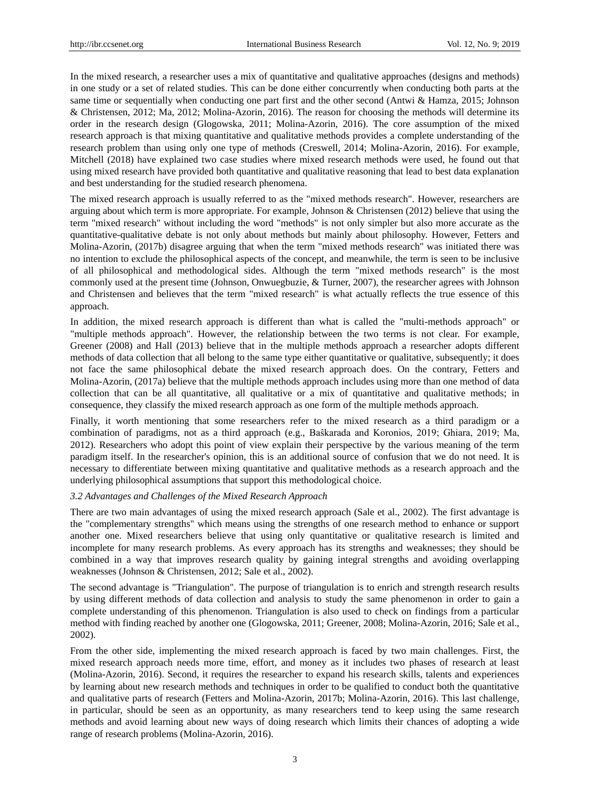In the mixed research, a researcher uses a mix of quantitative and qualitative approaches (designs and methods) in one study or a set of related studies. This can be done either concurrently when conducting both parts at the same time or sequentially when conducting one part first and the other second (Antwi & Hamza, 2015; Johnson & Christensen, 2012; Ma, 2012; Molina-Azorin, 2016). The reason for choosing the methods will determine its order in the research design (Glogowska, 2011; Molina-Azorin, 2016). The core assumption of the mixed research approach is that mixing quantitative and qualitative methods provides a complete understanding of the research problem than using only one type of methods (Creswell, 2014; Molina-Azorin, 2016). For example, Mitchell (2018) have explained two case studies where mixed research methods were used, he found out that using mixed research have provided both quantitative and qualitative reasoning that lead to best data explanation and best understanding for the studied research phenomena.

The mixed research approach is usually referred to as the "mixed methods research". However, researchers are arguing about which term is more appropriate. For example, Johnson & Christensen (2012) believe that using the term "mixed research" without including the word "methods" is not only simpler but also more accurate as the quantitative-qualitative debate is not only about methods but mainly about philosophy. However, Fetters and Molina-Azorin, (2017b) disagree arguing that when the term "mixed methods research" was initiated there was no intention to exclude the philosophical aspects of the concept, and meanwhile, the term is seen to be inclusive of all philosophical and methodological sides. Although the term "mixed methods research" is the most commonly used at the present time (Johnson, Onwuegbuzie, & Turner, 2007), the researcher agrees with Johnson and Christensen and believes that the term "mixed research" is what actually reflects the true essence of this approach.

In addition, the mixed research approach is different than what is called the "multi-methods approach" or "multiple methods approach". However, the relationship between the two terms is not clear. For example, Greener (2008) and Hall (2013) believe that in the multiple methods approach a researcher adopts different methods of data collection that all belong to the same type either quantitative or qualitative, subsequently; it does not face the same philosophical debate the mixed research approach does. On the contrary, Fetters and Molina-Azorin, (2017a) believe that the multiple methods approach includes using more than one method of data collection that can be all quantitative, all qualitative or a mix of quantitative and qualitative methods; in consequence, they classify the mixed research approach as one form of the multiple methods approach.

Finally, it worth mentioning that some researchers refer to the mixed research as a third paradigm or a combination of paradigms, not as a third approach (e.g., Baŝkarada and Koronios, 2019; Ghiara, 2019; Ma, 2012). Researchers who adopt this point of view explain their perspective by the various meaning of the term paradigm itself. In the researcher's opinion, this is an additional source of confusion that we do not need. It is necessary to differentiate between mixing quantitative and qualitative methods as a research approach and the underlying philosophical assumptions that support this methodological choice.

# *3.2 Advantages and Challenges of the Mixed Research Approach*

There are two main advantages of using the mixed research approach (Sale et al., 2002). The first advantage is the "complementary strengths" which means using the strengths of one research method to enhance or support another one. Mixed researchers believe that using only quantitative or qualitative research is limited and incomplete for many research problems. As every approach has its strengths and weaknesses; they should be combined in a way that improves research quality by gaining integral strengths and avoiding overlapping weaknesses (Johnson & Christensen, 2012; Sale et al., 2002).

The second advantage is "Triangulation". The purpose of triangulation is to enrich and strength research results by using different methods of data collection and analysis to study the same phenomenon in order to gain a complete understanding of this phenomenon. Triangulation is also used to check on findings from a particular method with finding reached by another one (Glogowska, 2011; Greener, 2008; Molina-Azorin, 2016; Sale et al., 2002).

From the other side, implementing the mixed research approach is faced by two main challenges. First, the mixed research approach needs more time, effort, and money as it includes two phases of research at least (Molina-Azorin, 2016). Second, it requires the researcher to expand his research skills, talents and experiences by learning about new research methods and techniques in order to be qualified to conduct both the quantitative and qualitative parts of research (Fetters and Molina-Azorin, 2017b; Molina-Azorin, 2016). This last challenge, in particular, should be seen as an opportunity, as many researchers tend to keep using the same research methods and avoid learning about new ways of doing research which limits their chances of adopting a wide range of research problems (Molina-Azorin, 2016).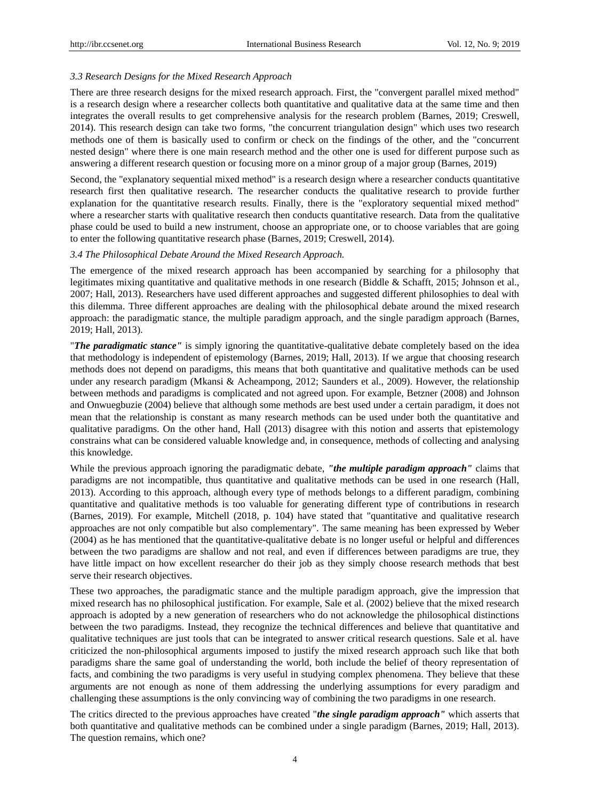## *3.3 Research Designs for the Mixed Research Approach*

There are three research designs for the mixed research approach. First, the "convergent parallel mixed method" is a research design where a researcher collects both quantitative and qualitative data at the same time and then integrates the overall results to get comprehensive analysis for the research problem (Barnes, 2019; Creswell, 2014). This research design can take two forms, "the concurrent triangulation design" which uses two research methods one of them is basically used to confirm or check on the findings of the other, and the "concurrent nested design" where there is one main research method and the other one is used for different purpose such as answering a different research question or focusing more on a minor group of a major group (Barnes, 2019)

Second, the "explanatory sequential mixed method" is a research design where a researcher conducts quantitative research first then qualitative research. The researcher conducts the qualitative research to provide further explanation for the quantitative research results. Finally, there is the "exploratory sequential mixed method" where a researcher starts with qualitative research then conducts quantitative research. Data from the qualitative phase could be used to build a new instrument, choose an appropriate one, or to choose variables that are going to enter the following quantitative research phase (Barnes, 2019; Creswell, 2014).

#### *3.4 The Philosophical Debate Around the Mixed Research Approach.*

The emergence of the mixed research approach has been accompanied by searching for a philosophy that legitimates mixing quantitative and qualitative methods in one research (Biddle & Schafft, 2015; Johnson et al., 2007; Hall, 2013). Researchers have used different approaches and suggested different philosophies to deal with this dilemma. Three different approaches are dealing with the philosophical debate around the mixed research approach: the paradigmatic stance, the multiple paradigm approach, and the single paradigm approach (Barnes, 2019; Hall, 2013).

"*The paradigmatic stance"* is simply ignoring the quantitative-qualitative debate completely based on the idea that methodology is independent of epistemology (Barnes, 2019; Hall, 2013). If we argue that choosing research methods does not depend on paradigms, this means that both quantitative and qualitative methods can be used under any research paradigm (Mkansi & Acheampong, 2012; Saunders et al., 2009). However, the relationship between methods and paradigms is complicated and not agreed upon. For example, Betzner (2008) and Johnson and Onwuegbuzie (2004) believe that although some methods are best used under a certain paradigm, it does not mean that the relationship is constant as many research methods can be used under both the quantitative and qualitative paradigms. On the other hand, Hall (2013) disagree with this notion and asserts that epistemology constrains what can be considered valuable knowledge and, in consequence, methods of collecting and analysing this knowledge.

While the previous approach ignoring the paradigmatic debate, *"the multiple paradigm approach"* claims that paradigms are not incompatible, thus quantitative and qualitative methods can be used in one research (Hall, 2013). According to this approach, although every type of methods belongs to a different paradigm, combining quantitative and qualitative methods is too valuable for generating different type of contributions in research (Barnes, 2019). For example, Mitchell (2018, p. 104) have stated that "quantitative and qualitative research approaches are not only compatible but also complementary". The same meaning has been expressed by Weber (2004) as he has mentioned that the quantitative-qualitative debate is no longer useful or helpful and differences between the two paradigms are shallow and not real, and even if differences between paradigms are true, they have little impact on how excellent researcher do their job as they simply choose research methods that best serve their research objectives.

These two approaches, the paradigmatic stance and the multiple paradigm approach, give the impression that mixed research has no philosophical justification. For example, Sale et al. (2002) believe that the mixed research approach is adopted by a new generation of researchers who do not acknowledge the philosophical distinctions between the two paradigms. Instead, they recognize the technical differences and believe that quantitative and qualitative techniques are just tools that can be integrated to answer critical research questions. Sale et al. have criticized the non-philosophical arguments imposed to justify the mixed research approach such like that both paradigms share the same goal of understanding the world, both include the belief of theory representation of facts, and combining the two paradigms is very useful in studying complex phenomena. They believe that these arguments are not enough as none of them addressing the underlying assumptions for every paradigm and challenging these assumptions is the only convincing way of combining the two paradigms in one research.

The critics directed to the previous approaches have created "*the single paradigm approach"* which asserts that both quantitative and qualitative methods can be combined under a single paradigm (Barnes, 2019; Hall, 2013). The question remains, which one?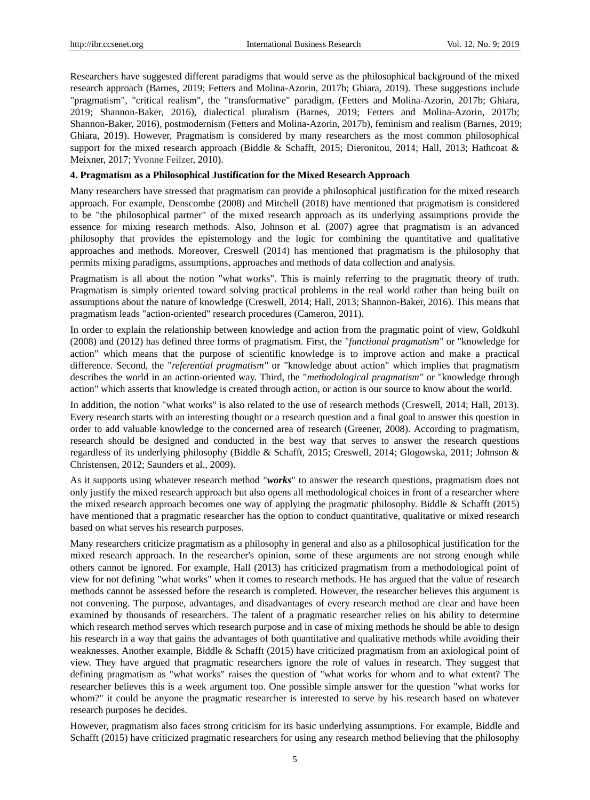Researchers have suggested different paradigms that would serve as the philosophical background of the mixed research approach (Barnes, 2019; Fetters and Molina-Azorin, 2017b; Ghiara, 2019). These suggestions include "pragmatism", "critical realism", the "transformative" paradigm, (Fetters and Molina-Azorin, 2017b; Ghiara, 2019; Shannon-Baker, 2016), dialectical pluralism (Barnes, 2019; Fetters and Molina-Azorin, 2017b; Shannon-Baker, 2016), postmodernism (Fetters and Molina-Azorin, 2017b), feminism and realism (Barnes, 2019; Ghiara, 2019). However, Pragmatism is considered by many researchers as the most common philosophical support for the mixed research approach (Biddle & Schafft, 2015; Dieronitou, 2014; Hall, 2013; Hathcoat & Meixner, 2017; Yvonne Feilzer, 2010).

# **4. Pragmatism as a Philosophical Justification for the Mixed Research Approach**

Many researchers have stressed that pragmatism can provide a philosophical justification for the mixed research approach. For example, Denscombe (2008) and Mitchell (2018) have mentioned that pragmatism is considered to be "the philosophical partner" of the mixed research approach as its underlying assumptions provide the essence for mixing research methods. Also, Johnson et al. (2007) agree that pragmatism is an advanced philosophy that provides the epistemology and the logic for combining the quantitative and qualitative approaches and methods. Moreover, Creswell (2014) has mentioned that pragmatism is the philosophy that permits mixing paradigms, assumptions, approaches and methods of data collection and analysis.

Pragmatism is all about the notion "what works". This is mainly referring to the pragmatic theory of truth. Pragmatism is simply oriented toward solving practical problems in the real world rather than being built on assumptions about the nature of knowledge (Creswell, 2014; Hall, 2013; Shannon-Baker, 2016). This means that pragmatism leads "action-oriented" research procedures (Cameron, 2011).

In order to explain the relationship between knowledge and action from the pragmatic point of view, Goldkuhl (2008) and (2012) has defined three forms of pragmatism. First, the "*functional pragmatism"* or "knowledge for action" which means that the purpose of scientific knowledge is to improve action and make a practical difference. Second, the "*referential pragmatism"* or "knowledge about action" which implies that pragmatism describes the world in an action-oriented way. Third, the "*methodological pragmatism"* or "knowledge through action" which asserts that knowledge is created through action, or action is our source to know about the world.

In addition, the notion "what works" is also related to the use of research methods (Creswell, 2014; Hall, 2013). Every research starts with an interesting thought or a research question and a final goal to answer this question in order to add valuable knowledge to the concerned area of research (Greener, 2008). According to pragmatism, research should be designed and conducted in the best way that serves to answer the research questions regardless of its underlying philosophy (Biddle & Schafft, 2015; Creswell, 2014; Glogowska, 2011; Johnson & Christensen, 2012; Saunders et al., 2009).

As it supports using whatever research method "*works*" to answer the research questions, pragmatism does not only justify the mixed research approach but also opens all methodological choices in front of a researcher where the mixed research approach becomes one way of applying the pragmatic philosophy. Biddle & Schafft (2015) have mentioned that a pragmatic researcher has the option to conduct quantitative, qualitative or mixed research based on what serves his research purposes.

Many researchers criticize pragmatism as a philosophy in general and also as a philosophical justification for the mixed research approach. In the researcher's opinion, some of these arguments are not strong enough while others cannot be ignored. For example, Hall (2013) has criticized pragmatism from a methodological point of view for not defining "what works" when it comes to research methods. He has argued that the value of research methods cannot be assessed before the research is completed. However, the researcher believes this argument is not convening. The purpose, advantages, and disadvantages of every research method are clear and have been examined by thousands of researchers. The talent of a pragmatic researcher relies on his ability to determine which research method serves which research purpose and in case of mixing methods he should be able to design his research in a way that gains the advantages of both quantitative and qualitative methods while avoiding their weaknesses. Another example, Biddle & Schafft (2015) have criticized pragmatism from an axiological point of view. They have argued that pragmatic researchers ignore the role of values in research. They suggest that defining pragmatism as "what works" raises the question of "what works for whom and to what extent? The researcher believes this is a week argument too. One possible simple answer for the question "what works for whom?" it could be anyone the pragmatic researcher is interested to serve by his research based on whatever research purposes he decides.

However, pragmatism also faces strong criticism for its basic underlying assumptions. For example, Biddle and Schafft (2015) have criticized pragmatic researchers for using any research method believing that the philosophy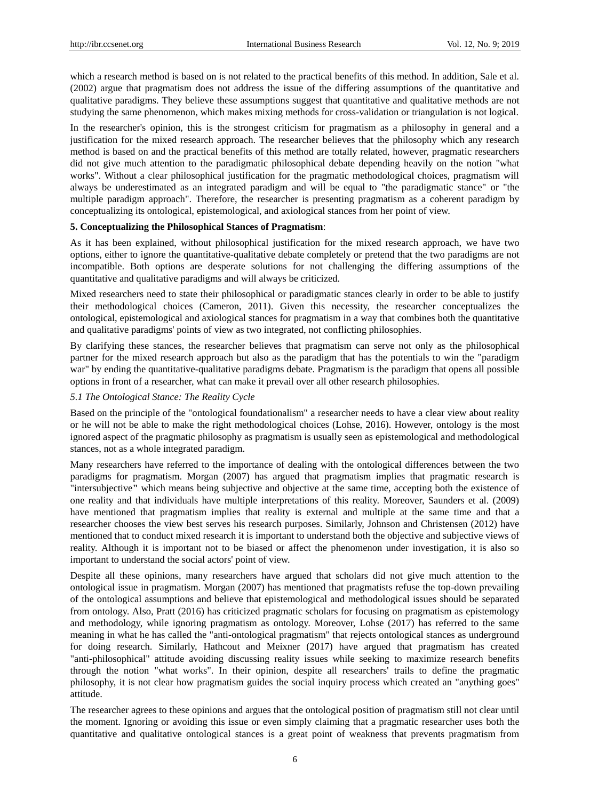which a research method is based on is not related to the practical benefits of this method. In addition, Sale et al. (2002) argue that pragmatism does not address the issue of the differing assumptions of the quantitative and qualitative paradigms. They believe these assumptions suggest that quantitative and qualitative methods are not studying the same phenomenon, which makes mixing methods for cross-validation or triangulation is not logical.

In the researcher's opinion, this is the strongest criticism for pragmatism as a philosophy in general and a justification for the mixed research approach. The researcher believes that the philosophy which any research method is based on and the practical benefits of this method are totally related, however, pragmatic researchers did not give much attention to the paradigmatic philosophical debate depending heavily on the notion "what works". Without a clear philosophical justification for the pragmatic methodological choices, pragmatism will always be underestimated as an integrated paradigm and will be equal to "the paradigmatic stance" or "the multiple paradigm approach". Therefore, the researcher is presenting pragmatism as a coherent paradigm by conceptualizing its ontological, epistemological, and axiological stances from her point of view.

## **5. Conceptualizing the Philosophical Stances of Pragmatism**:

As it has been explained, without philosophical justification for the mixed research approach, we have two options, either to ignore the quantitative-qualitative debate completely or pretend that the two paradigms are not incompatible. Both options are desperate solutions for not challenging the differing assumptions of the quantitative and qualitative paradigms and will always be criticized.

Mixed researchers need to state their philosophical or paradigmatic stances clearly in order to be able to justify their methodological choices (Cameron, 2011). Given this necessity, the researcher conceptualizes the ontological, epistemological and axiological stances for pragmatism in a way that combines both the quantitative and qualitative paradigms' points of view as two integrated, not conflicting philosophies.

By clarifying these stances, the researcher believes that pragmatism can serve not only as the philosophical partner for the mixed research approach but also as the paradigm that has the potentials to win the "paradigm war" by ending the quantitative-qualitative paradigms debate. Pragmatism is the paradigm that opens all possible options in front of a researcher, what can make it prevail over all other research philosophies.

# *5.1 The Ontological Stance: The Reality Cycle*

Based on the principle of the "ontological foundationalism" a researcher needs to have a clear view about reality or he will not be able to make the right methodological choices (Lohse, 2016). However, ontology is the most ignored aspect of the pragmatic philosophy as pragmatism is usually seen as epistemological and methodological stances, not as a whole integrated paradigm.

Many researchers have referred to the importance of dealing with the ontological differences between the two paradigms for pragmatism. Morgan (2007) has argued that pragmatism implies that pragmatic research is "intersubjective**"** which means being subjective and objective at the same time, accepting both the existence of one reality and that individuals have multiple interpretations of this reality. Moreover, Saunders et al. (2009) have mentioned that pragmatism implies that reality is external and multiple at the same time and that a researcher chooses the view best serves his research purposes. Similarly, Johnson and Christensen (2012) have mentioned that to conduct mixed research it is important to understand both the objective and subjective views of reality. Although it is important not to be biased or affect the phenomenon under investigation, it is also so important to understand the social actors' point of view.

Despite all these opinions, many researchers have argued that scholars did not give much attention to the ontological issue in pragmatism. Morgan (2007) has mentioned that pragmatists refuse the top-down prevailing of the ontological assumptions and believe that epistemological and methodological issues should be separated from ontology. Also, Pratt (2016) has criticized pragmatic scholars for focusing on pragmatism as epistemology and methodology, while ignoring pragmatism as ontology. Moreover, Lohse (2017) has referred to the same meaning in what he has called the "anti-ontological pragmatism" that rejects ontological stances as underground for doing research. Similarly, Hathcout and Meixner (2017) have argued that pragmatism has created "anti-philosophical" attitude avoiding discussing reality issues while seeking to maximize research benefits through the notion "what works". In their opinion, despite all researchers' trails to define the pragmatic philosophy, it is not clear how pragmatism guides the social inquiry process which created an "anything goes" attitude.

The researcher agrees to these opinions and argues that the ontological position of pragmatism still not clear until the moment. Ignoring or avoiding this issue or even simply claiming that a pragmatic researcher uses both the quantitative and qualitative ontological stances is a great point of weakness that prevents pragmatism from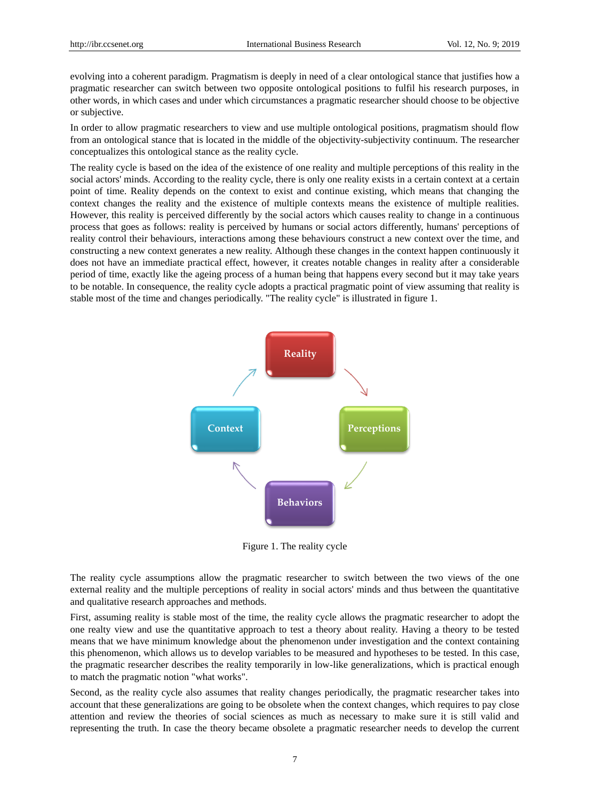evolving into a coherent paradigm. Pragmatism is deeply in need of a clear ontological stance that justifies how a pragmatic researcher can switch between two opposite ontological positions to fulfil his research purposes, in other words, in which cases and under which circumstances a pragmatic researcher should choose to be objective or subjective.

In order to allow pragmatic researchers to view and use multiple ontological positions, pragmatism should flow from an ontological stance that is located in the middle of the objectivity-subjectivity continuum. The researcher conceptualizes this ontological stance as the reality cycle.

The reality cycle is based on the idea of the existence of one reality and multiple perceptions of this reality in the social actors' minds. According to the reality cycle, there is only one reality exists in a certain context at a certain point of time. Reality depends on the context to exist and continue existing, which means that changing the context changes the reality and the existence of multiple contexts means the existence of multiple realities. However, this reality is perceived differently by the social actors which causes reality to change in a continuous process that goes as follows: reality is perceived by humans or social actors differently, humans' perceptions of reality control their behaviours, interactions among these behaviours construct a new context over the time, and constructing a new context generates a new reality. Although these changes in the context happen continuously it does not have an immediate practical effect, however, it creates notable changes in reality after a considerable period of time, exactly like the ageing process of a human being that happens every second but it may take years to be notable. In consequence, the reality cycle adopts a practical pragmatic point of view assuming that reality is stable most of the time and changes periodically. "The reality cycle" is illustrated in figure 1.



Figure 1. The reality cycle

The reality cycle assumptions allow the pragmatic researcher to switch between the two views of the one external reality and the multiple perceptions of reality in social actors' minds and thus between the quantitative and qualitative research approaches and methods.

First, assuming reality is stable most of the time, the reality cycle allows the pragmatic researcher to adopt the one realty view and use the quantitative approach to test a theory about reality. Having a theory to be tested means that we have minimum knowledge about the phenomenon under investigation and the context containing this phenomenon, which allows us to develop variables to be measured and hypotheses to be tested. In this case, the pragmatic researcher describes the reality temporarily in low-like generalizations, which is practical enough to match the pragmatic notion "what works".

Second, as the reality cycle also assumes that reality changes periodically, the pragmatic researcher takes into account that these generalizations are going to be obsolete when the context changes, which requires to pay close attention and review the theories of social sciences as much as necessary to make sure it is still valid and representing the truth. In case the theory became obsolete a pragmatic researcher needs to develop the current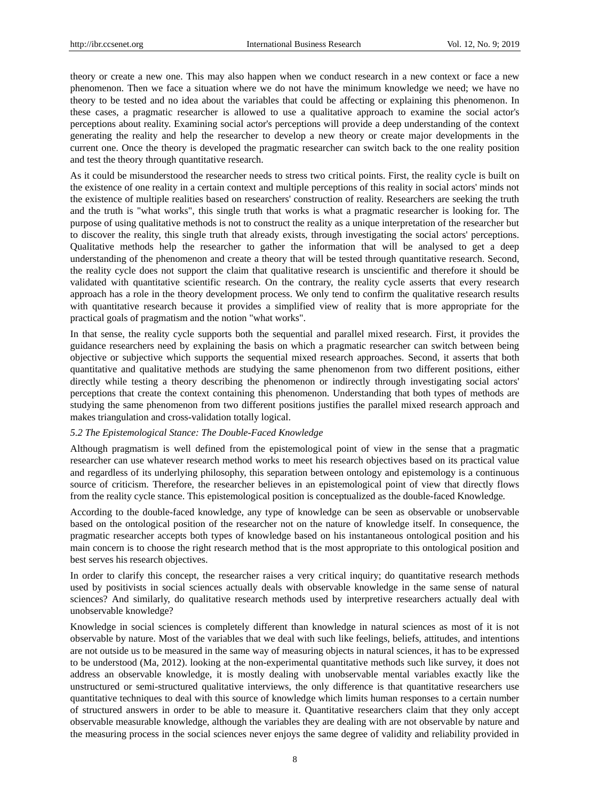theory or create a new one. This may also happen when we conduct research in a new context or face a new phenomenon. Then we face a situation where we do not have the minimum knowledge we need; we have no theory to be tested and no idea about the variables that could be affecting or explaining this phenomenon. In these cases, a pragmatic researcher is allowed to use a qualitative approach to examine the social actor's perceptions about reality. Examining social actor's perceptions will provide a deep understanding of the context generating the reality and help the researcher to develop a new theory or create major developments in the current one. Once the theory is developed the pragmatic researcher can switch back to the one reality position and test the theory through quantitative research.

As it could be misunderstood the researcher needs to stress two critical points. First, the reality cycle is built on the existence of one reality in a certain context and multiple perceptions of this reality in social actors' minds not the existence of multiple realities based on researchers' construction of reality. Researchers are seeking the truth and the truth is "what works", this single truth that works is what a pragmatic researcher is looking for. The purpose of using qualitative methods is not to construct the reality as a unique interpretation of the researcher but to discover the reality, this single truth that already exists, through investigating the social actors' perceptions. Qualitative methods help the researcher to gather the information that will be analysed to get a deep understanding of the phenomenon and create a theory that will be tested through quantitative research. Second, the reality cycle does not support the claim that qualitative research is unscientific and therefore it should be validated with quantitative scientific research. On the contrary, the reality cycle asserts that every research approach has a role in the theory development process. We only tend to confirm the qualitative research results with quantitative research because it provides a simplified view of reality that is more appropriate for the practical goals of pragmatism and the notion "what works".

In that sense, the reality cycle supports both the sequential and parallel mixed research. First, it provides the guidance researchers need by explaining the basis on which a pragmatic researcher can switch between being objective or subjective which supports the sequential mixed research approaches. Second, it asserts that both quantitative and qualitative methods are studying the same phenomenon from two different positions, either directly while testing a theory describing the phenomenon or indirectly through investigating social actors' perceptions that create the context containing this phenomenon. Understanding that both types of methods are studying the same phenomenon from two different positions justifies the parallel mixed research approach and makes triangulation and cross-validation totally logical.

## *5.2 The Epistemological Stance: The Double-Faced Knowledge*

Although pragmatism is well defined from the epistemological point of view in the sense that a pragmatic researcher can use whatever research method works to meet his research objectives based on its practical value and regardless of its underlying philosophy, this separation between ontology and epistemology is a continuous source of criticism. Therefore, the researcher believes in an epistemological point of view that directly flows from the reality cycle stance. This epistemological position is conceptualized as the double-faced Knowledge*.*

According to the double-faced knowledge, any type of knowledge can be seen as observable or unobservable based on the ontological position of the researcher not on the nature of knowledge itself. In consequence, the pragmatic researcher accepts both types of knowledge based on his instantaneous ontological position and his main concern is to choose the right research method that is the most appropriate to this ontological position and best serves his research objectives.

In order to clarify this concept, the researcher raises a very critical inquiry; do quantitative research methods used by positivists in social sciences actually deals with observable knowledge in the same sense of natural sciences? And similarly, do qualitative research methods used by interpretive researchers actually deal with unobservable knowledge?

Knowledge in social sciences is completely different than knowledge in natural sciences as most of it is not observable by nature. Most of the variables that we deal with such like feelings, beliefs, attitudes, and intentions are not outside us to be measured in the same way of measuring objects in natural sciences, it has to be expressed to be understood (Ma, 2012). looking at the non-experimental quantitative methods such like survey, it does not address an observable knowledge, it is mostly dealing with unobservable mental variables exactly like the unstructured or semi-structured qualitative interviews, the only difference is that quantitative researchers use quantitative techniques to deal with this source of knowledge which limits human responses to a certain number of structured answers in order to be able to measure it. Quantitative researchers claim that they only accept observable measurable knowledge, although the variables they are dealing with are not observable by nature and the measuring process in the social sciences never enjoys the same degree of validity and reliability provided in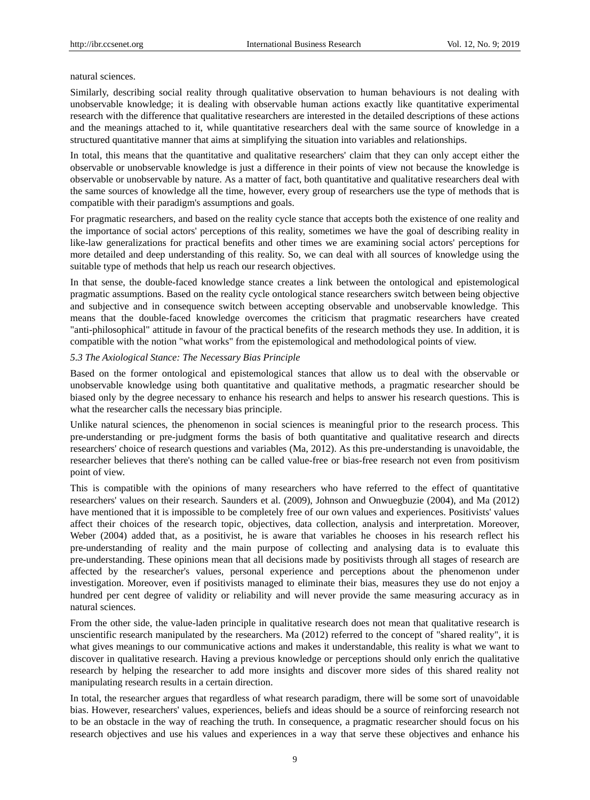#### natural sciences.

Similarly, describing social reality through qualitative observation to human behaviours is not dealing with unobservable knowledge; it is dealing with observable human actions exactly like quantitative experimental research with the difference that qualitative researchers are interested in the detailed descriptions of these actions and the meanings attached to it, while quantitative researchers deal with the same source of knowledge in a structured quantitative manner that aims at simplifying the situation into variables and relationships.

In total, this means that the quantitative and qualitative researchers' claim that they can only accept either the observable or unobservable knowledge is just a difference in their points of view not because the knowledge is observable or unobservable by nature. As a matter of fact, both quantitative and qualitative researchers deal with the same sources of knowledge all the time, however, every group of researchers use the type of methods that is compatible with their paradigm's assumptions and goals.

For pragmatic researchers, and based on the reality cycle stance that accepts both the existence of one reality and the importance of social actors' perceptions of this reality, sometimes we have the goal of describing reality in like-law generalizations for practical benefits and other times we are examining social actors' perceptions for more detailed and deep understanding of this reality. So, we can deal with all sources of knowledge using the suitable type of methods that help us reach our research objectives.

In that sense, the double-faced knowledge stance creates a link between the ontological and epistemological pragmatic assumptions. Based on the reality cycle ontological stance researchers switch between being objective and subjective and in consequence switch between accepting observable and unobservable knowledge. This means that the double-faced knowledge overcomes the criticism that pragmatic researchers have created "anti-philosophical" attitude in favour of the practical benefits of the research methods they use. In addition, it is compatible with the notion "what works" from the epistemological and methodological points of view.

#### *5.3 The Axiological Stance: The Necessary Bias Principle*

Based on the former ontological and epistemological stances that allow us to deal with the observable or unobservable knowledge using both quantitative and qualitative methods, a pragmatic researcher should be biased only by the degree necessary to enhance his research and helps to answer his research questions. This is what the researcher calls the necessary bias principle.

Unlike natural sciences, the phenomenon in social sciences is meaningful prior to the research process. This pre-understanding or pre-judgment forms the basis of both quantitative and qualitative research and directs researchers' choice of research questions and variables (Ma, 2012). As this pre-understanding is unavoidable, the researcher believes that there's nothing can be called value-free or bias-free research not even from positivism point of view.

This is compatible with the opinions of many researchers who have referred to the effect of quantitative researchers' values on their research. Saunders et al. (2009), Johnson and Onwuegbuzie (2004), and Ma (2012) have mentioned that it is impossible to be completely free of our own values and experiences. Positivists' values affect their choices of the research topic, objectives, data collection, analysis and interpretation. Moreover, Weber (2004) added that, as a positivist, he is aware that variables he chooses in his research reflect his pre-understanding of reality and the main purpose of collecting and analysing data is to evaluate this pre-understanding. These opinions mean that all decisions made by positivists through all stages of research are affected by the researcher's values, personal experience and perceptions about the phenomenon under investigation. Moreover, even if positivists managed to eliminate their bias, measures they use do not enjoy a hundred per cent degree of validity or reliability and will never provide the same measuring accuracy as in natural sciences.

From the other side, the value-laden principle in qualitative research does not mean that qualitative research is unscientific research manipulated by the researchers. Ma (2012) referred to the concept of "shared reality", it is what gives meanings to our communicative actions and makes it understandable, this reality is what we want to discover in qualitative research. Having a previous knowledge or perceptions should only enrich the qualitative research by helping the researcher to add more insights and discover more sides of this shared reality not manipulating research results in a certain direction.

In total, the researcher argues that regardless of what research paradigm, there will be some sort of unavoidable bias. However, researchers' values, experiences, beliefs and ideas should be a source of reinforcing research not to be an obstacle in the way of reaching the truth. In consequence, a pragmatic researcher should focus on his research objectives and use his values and experiences in a way that serve these objectives and enhance his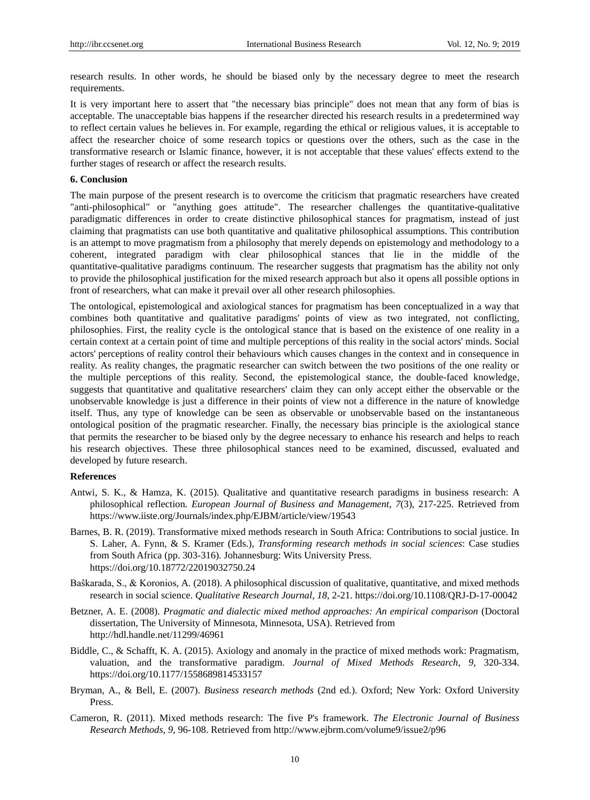research results. In other words, he should be biased only by the necessary degree to meet the research requirements.

It is very important here to assert that "the necessary bias principle" does not mean that any form of bias is acceptable. The unacceptable bias happens if the researcher directed his research results in a predetermined way to reflect certain values he believes in. For example, regarding the ethical or religious values, it is acceptable to affect the researcher choice of some research topics or questions over the others, such as the case in the transformative research or Islamic finance, however, it is not acceptable that these values' effects extend to the further stages of research or affect the research results.

#### **6. Conclusion**

The main purpose of the present research is to overcome the criticism that pragmatic researchers have created "anti-philosophical" or "anything goes attitude". The researcher challenges the quantitative-qualitative paradigmatic differences in order to create distinctive philosophical stances for pragmatism, instead of just claiming that pragmatists can use both quantitative and qualitative philosophical assumptions. This contribution is an attempt to move pragmatism from a philosophy that merely depends on epistemology and methodology to a coherent, integrated paradigm with clear philosophical stances that lie in the middle of the quantitative-qualitative paradigms continuum. The researcher suggests that pragmatism has the ability not only to provide the philosophical justification for the mixed research approach but also it opens all possible options in front of researchers, what can make it prevail over all other research philosophies.

The ontological, epistemological and axiological stances for pragmatism has been conceptualized in a way that combines both quantitative and qualitative paradigms' points of view as two integrated, not conflicting, philosophies. First, the reality cycle is the ontological stance that is based on the existence of one reality in a certain context at a certain point of time and multiple perceptions of this reality in the social actors' minds. Social actors' perceptions of reality control their behaviours which causes changes in the context and in consequence in reality. As reality changes, the pragmatic researcher can switch between the two positions of the one reality or the multiple perceptions of this reality. Second, the epistemological stance, the double-faced knowledge, suggests that quantitative and qualitative researchers' claim they can only accept either the observable or the unobservable knowledge is just a difference in their points of view not a difference in the nature of knowledge itself. Thus, any type of knowledge can be seen as observable or unobservable based on the instantaneous ontological position of the pragmatic researcher. Finally, the necessary bias principle is the axiological stance that permits the researcher to be biased only by the degree necessary to enhance his research and helps to reach his research objectives. These three philosophical stances need to be examined, discussed, evaluated and developed by future research.

#### **References**

- Antwi, S. K., & Hamza, K. (2015). Qualitative and quantitative research paradigms in business research: A philosophical reflection*. European Journal of Business and Management*, *7*(3), 217-225. Retrieved from <https://www.iiste.org/Journals/index.php/EJBM/article/view/19543>
- Barnes, B. R. (2019). Transformative mixed methods research in South Africa: Contributions to social justice. In S. Laher, A. Fynn, & S. Kramer (Eds.), *Transforming research methods in social sciences*: Case studies from South Africa (pp. 303-316)*.* Johannesburg: Wits University Press. https://doi.org[/10.18772/22019032750.24](http://dx.doi.org/10.18772/22019032750.24)
- Baŝkarada, S., & Koronios, A. (2018). A philosophical discussion of qualitative, quantitative, and mixed methods research in social science. *Qualitative Research Journal, 18,* 2-21[. https://doi.org/10.1108/QRJ-D-17-00042](https://doi.org/10.1108/QRJ-D-17-00042)
- Betzner, A. E. (2008). *Pragmatic and dialectic mixed method approaches: An empirical comparison* (Doctoral dissertation, The University of Minnesota, Minnesota, USA). Retrieved from <http://hdl.handle.net/11299/46961>
- Biddle, C., & Schafft, K. A. (2015). Axiology and anomaly in the practice of mixed methods work: Pragmatism, valuation, and the transformative paradigm. *Journal of Mixed Methods Research*, *9,* 320-334. <https://doi.org/10.1177/1558689814533157>
- Bryman, A., & Bell, E. (2007). *Business research methods* (2nd ed.). Oxford; New York: Oxford University Press.
- Cameron, R. (2011). Mixed methods research: The five P's framework. *The Electronic Journal of Business Research Methods, 9,* 96-108. Retrieved from<http://www.ejbrm.com/volume9/issue2/p96>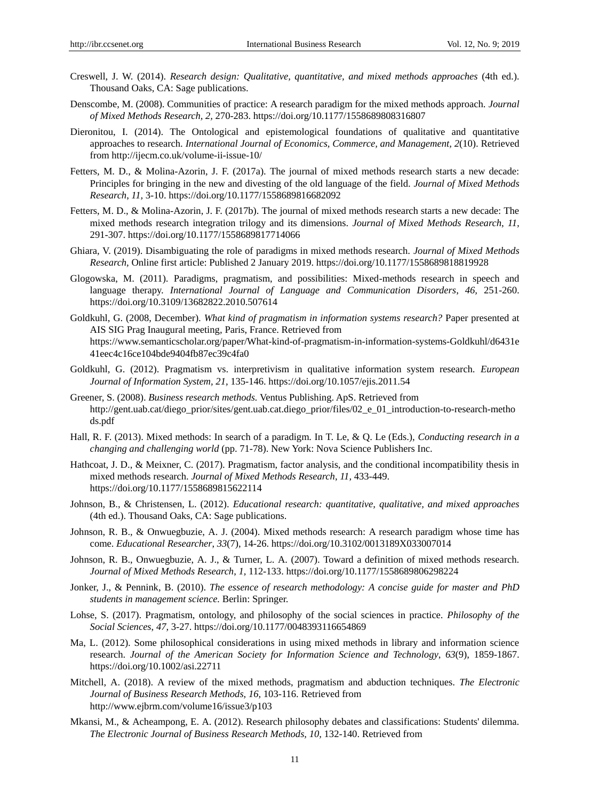- Creswell, J. W. (2014). *Research design: Qualitative, quantitative, and mixed methods approaches* (4th ed.). Thousand Oaks, CA: Sage publications.
- Denscombe, M. (2008). Communities of practice: A research paradigm for the mixed methods approach. *Journal of Mixed Methods Research, 2,* 270-283. [https://doi.org/10.1177/1558689808316807](https://doi.org/10.1177%2F1558689808316807)
- Dieronitou, I. (2014). The Ontological and epistemological foundations of qualitative and quantitative approaches to research. *International Journal of Economics, Commerce, and Management, 2*(10). Retrieved from<http://ijecm.co.uk/volume-ii-issue-10/>
- Fetters, M. D., & Molina-Azorin, J. F. (2017a). The journal of mixed methods research starts a new decade: Principles for bringing in the new and divesting of the old language of the field. *Journal of Mixed Methods Research*, *11,* 3-10. [https://doi.org/10.1177/1558689816682092](https://doi.org/10.1177%2F1558689816682092)
- Fetters, M. D., & Molina-Azorin, J. F. (2017b). The journal of mixed methods research starts a new decade: The mixed methods research integration trilogy and its dimensions. *Journal of Mixed Methods Research*, *11,*  291-307. [https://doi.org/10.1177/1558689817714066](https://doi.org/10.1177%2F1558689817714066)
- Ghiara, V. (2019). Disambiguating the role of paradigms in mixed methods research. *Journal of Mixed Methods Research,* Online first article: Published 2 January 2019. [https://doi.org/10.1177/1558689818819928](https://doi.org/10.1177%2F1558689818819928)
- Glogowska, M. (2011). Paradigms, pragmatism, and possibilities: Mixed-methods research in speech and language therapy. *International Journal of Language and Communication Disorders*, *46,* 251-260. <https://doi.org/10.3109/13682822.2010.507614>
- Goldkuhl, G. (2008, December). *What kind of pragmatism in information systems research?* Paper presented at AIS SIG Prag Inaugural meeting*,* Paris, France. Retrieved from [https://www.semanticscholar.org/paper/What-kind-of-pragmatism-in-information-systems-Goldkuhl/d6431e](https://www.semanticscholar.org/paper/What-kind-of-pragmatism-in-information-systems-Goldkuhl/d6431e41eec4c16ce104bde9404fb87ec39c4fa0) [41eec4c16ce104bde9404fb87ec39c4fa0](https://www.semanticscholar.org/paper/What-kind-of-pragmatism-in-information-systems-Goldkuhl/d6431e41eec4c16ce104bde9404fb87ec39c4fa0)
- Goldkuhl, G. (2012). Pragmatism vs. interpretivism in qualitative information system research. *European Journal of Information System, 21,* 135-146.<https://doi.org/10.1057/ejis.2011.54>
- Greener, S. (2008). *Business research methods.* Ventus Publishing. ApS. Retrieved from [http://gent.uab.cat/diego\\_prior/sites/gent.uab.cat.diego\\_prior/files/02\\_e\\_01\\_introduction-to-research-metho](http://gent.uab.cat/diego_prior/sites/gent.uab.cat.diego_prior/files/02_e_01_introduction-to-research-methods.pdf) [ds.pdf](http://gent.uab.cat/diego_prior/sites/gent.uab.cat.diego_prior/files/02_e_01_introduction-to-research-methods.pdf)
- Hall, R. F. (2013). Mixed methods: In search of a paradigm. In T. Le, & Q. Le (Eds.), *Conducting research in a changing and challenging world* (pp. 71-78). New York: Nova Science Publishers Inc.
- Hathcoat, J. D., & Meixner, C. (2017). Pragmatism, factor analysis, and the conditional incompatibility thesis in mixed methods research. *Journal of Mixed Methods Research*, *11,* 433-449. <https://doi.org/10.1177/1558689815622114>
- Johnson, B., & Christensen, L. (2012). *Educational research: quantitative, qualitative, and mixed approaches*  (4th ed.). Thousand Oaks, CA: Sage publications.
- Johnson, R. B., & Onwuegbuzie, A. J. (2004). Mixed methods research: A research paradigm whose time has come. *Educational Researcher*, *33*(7), 14-26. [https://doi.org/10.3102/0013189X033007014](https://doi.org/10.3102%2F0013189X033007014)
- Johnson, R. B., Onwuegbuzie, A. J., & Turner, L. A. (2007). Toward a definition of mixed methods research. *Journal of Mixed Methods Research*, *1,* 112-133. [https://doi.org/10.1177/1558689806298224](https://doi.org/10.1177%2F1558689806298224)
- Jonker, J., & Pennink, B. (2010). *The essence of research methodology: A concise guide for master and PhD students in management science.* Berlin: Springer.
- Lohse, S. (2017). Pragmatism, ontology, and philosophy of the social sciences in practice. *Philosophy of the Social Sciences*, *47,* 3-27. [https://doi.org/10.1177/0048393116654869](https://doi.org/10.1177%2F0048393116654869)
- Ma, L. (2012). Some philosophical considerations in using mixed methods in library and information science research. *Journal of the American Society for Information Science and Technology*, *63*(9), 1859-1867. <https://doi.org/10.1002/asi.22711>
- Mitchell, A. (2018). A review of the mixed methods, pragmatism and abduction techniques. *The Electronic Journal of Business Research Methods, 16,* 103-116. Retrieved from <http://www.ejbrm.com/volume16/issue3/p103>
- Mkansi, M., & Acheampong, E. A. (2012). Research philosophy debates and classifications: Students' dilemma. The Electronic Journal of Business Research Methods, 10, 132-140. Retrieved from